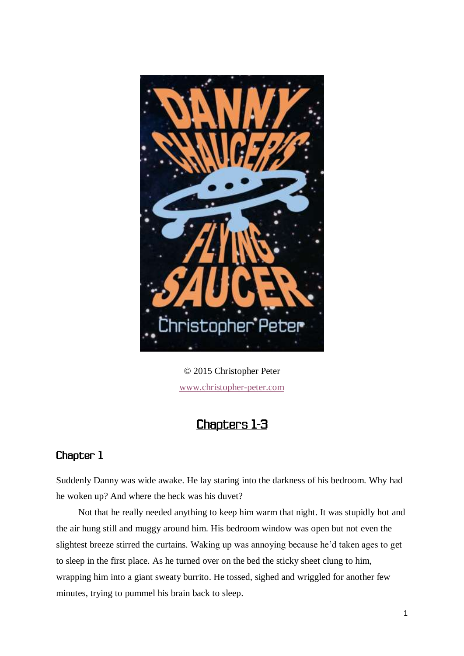

© 2015 Christopher Peter [www.christopher-peter.com](http://www.christopher-peter.com/)

## **Chapters 1-3**

## Chapter 1

Suddenly Danny was wide awake. He lay staring into the darkness of his bedroom. Why had he woken up? And where the heck was his duvet?

Not that he really needed anything to keep him warm that night. It was stupidly hot and the air hung still and muggy around him. His bedroom window was open but not even the slightest breeze stirred the curtains. Waking up was annoying because he'd taken ages to get to sleep in the first place. As he turned over on the bed the sticky sheet clung to him, wrapping him into a giant sweaty burrito. He tossed, sighed and wriggled for another few minutes, trying to pummel his brain back to sleep.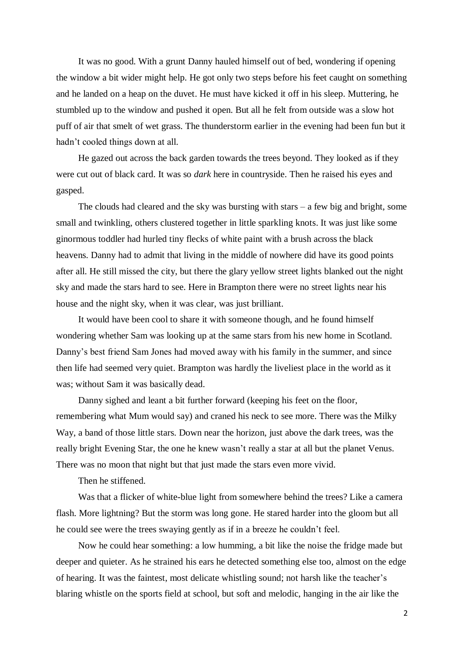It was no good. With a grunt Danny hauled himself out of bed, wondering if opening the window a bit wider might help. He got only two steps before his feet caught on something and he landed on a heap on the duvet. He must have kicked it off in his sleep. Muttering, he stumbled up to the window and pushed it open. But all he felt from outside was a slow hot puff of air that smelt of wet grass. The thunderstorm earlier in the evening had been fun but it hadn't cooled things down at all.

He gazed out across the back garden towards the trees beyond. They looked as if they were cut out of black card. It was so *dark* here in countryside. Then he raised his eyes and gasped.

The clouds had cleared and the sky was bursting with stars – a few big and bright, some small and twinkling, others clustered together in little sparkling knots. It was just like some ginormous toddler had hurled tiny flecks of white paint with a brush across the black heavens. Danny had to admit that living in the middle of nowhere did have its good points after all. He still missed the city, but there the glary yellow street lights blanked out the night sky and made the stars hard to see. Here in Brampton there were no street lights near his house and the night sky, when it was clear, was just brilliant.

It would have been cool to share it with someone though, and he found himself wondering whether Sam was looking up at the same stars from his new home in Scotland. Danny's best friend Sam Jones had moved away with his family in the summer, and since then life had seemed very quiet. Brampton was hardly the liveliest place in the world as it was; without Sam it was basically dead.

Danny sighed and leant a bit further forward (keeping his feet on the floor, remembering what Mum would say) and craned his neck to see more. There was the Milky Way, a band of those little stars. Down near the horizon, just above the dark trees, was the really bright Evening Star, the one he knew wasn't really a star at all but the planet Venus. There was no moon that night but that just made the stars even more vivid.

Then he stiffened.

Was that a flicker of white-blue light from somewhere behind the trees? Like a camera flash. More lightning? But the storm was long gone. He stared harder into the gloom but all he could see were the trees swaying gently as if in a breeze he couldn't feel.

Now he could hear something: a low humming, a bit like the noise the fridge made but deeper and quieter. As he strained his ears he detected something else too, almost on the edge of hearing. It was the faintest, most delicate whistling sound; not harsh like the teacher's blaring whistle on the sports field at school, but soft and melodic, hanging in the air like the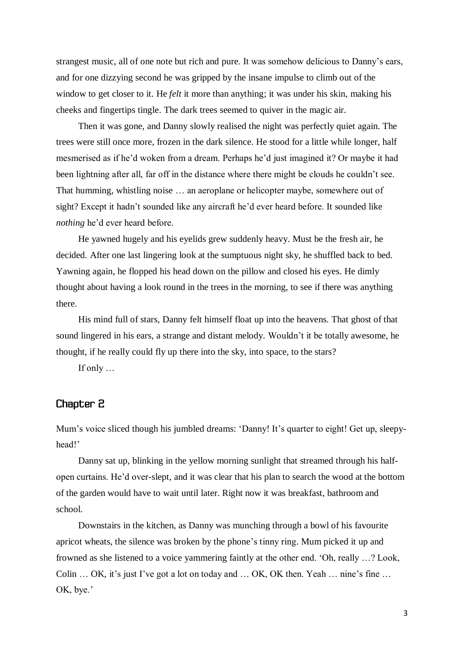strangest music, all of one note but rich and pure. It was somehow delicious to Danny's ears, and for one dizzying second he was gripped by the insane impulse to climb out of the window to get closer to it. He *felt* it more than anything; it was under his skin, making his cheeks and fingertips tingle. The dark trees seemed to quiver in the magic air.

Then it was gone, and Danny slowly realised the night was perfectly quiet again. The trees were still once more, frozen in the dark silence. He stood for a little while longer, half mesmerised as if he'd woken from a dream. Perhaps he'd just imagined it? Or maybe it had been lightning after all, far off in the distance where there might be clouds he couldn't see. That humming, whistling noise … an aeroplane or helicopter maybe, somewhere out of sight? Except it hadn't sounded like any aircraft he'd ever heard before. It sounded like *nothing* he'd ever heard before.

He yawned hugely and his eyelids grew suddenly heavy. Must be the fresh air, he decided. After one last lingering look at the sumptuous night sky, he shuffled back to bed. Yawning again, he flopped his head down on the pillow and closed his eyes. He dimly thought about having a look round in the trees in the morning, to see if there was anything there.

His mind full of stars, Danny felt himself float up into the heavens. That ghost of that sound lingered in his ears, a strange and distant melody. Wouldn't it be totally awesome, he thought, if he really could fly up there into the sky, into space, to the stars?

If only …

## Chapter 2

Mum's voice sliced though his jumbled dreams: 'Danny! It's quarter to eight! Get up, sleepyhead!'

Danny sat up, blinking in the yellow morning sunlight that streamed through his halfopen curtains. He'd over-slept, and it was clear that his plan to search the wood at the bottom of the garden would have to wait until later. Right now it was breakfast, bathroom and school.

Downstairs in the kitchen, as Danny was munching through a bowl of his favourite apricot wheats, the silence was broken by the phone's tinny ring. Mum picked it up and frowned as she listened to a voice yammering faintly at the other end. 'Oh, really …? Look, Colin … OK, it's just I've got a lot on today and … OK, OK then. Yeah … nine's fine … OK, bye.'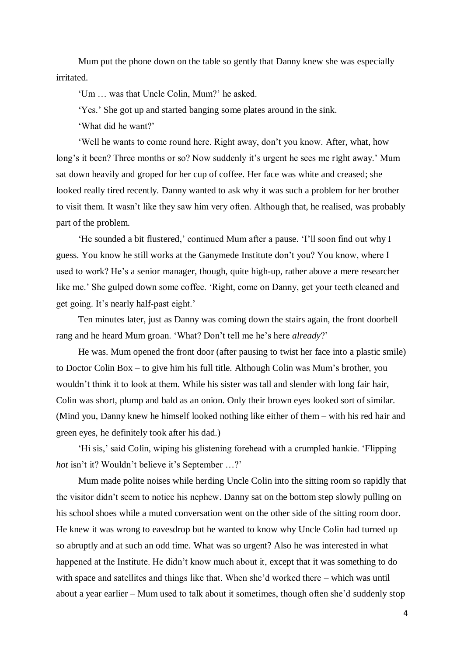Mum put the phone down on the table so gently that Danny knew she was especially irritated.

'Um … was that Uncle Colin, Mum?' he asked.

'Yes.' She got up and started banging some plates around in the sink.

'What did he want?'

'Well he wants to come round here. Right away, don't you know. After, what, how long's it been? Three months or so? Now suddenly it's urgent he sees me right away.' Mum sat down heavily and groped for her cup of coffee. Her face was white and creased; she looked really tired recently. Danny wanted to ask why it was such a problem for her brother to visit them. It wasn't like they saw him very often. Although that, he realised, was probably part of the problem.

'He sounded a bit flustered,' continued Mum after a pause. 'I'll soon find out why I guess. You know he still works at the Ganymede Institute don't you? You know, where I used to work? He's a senior manager, though, quite high-up, rather above a mere researcher like me.' She gulped down some coffee. 'Right, come on Danny, get your teeth cleaned and get going. It's nearly half-past eight.'

Ten minutes later, just as Danny was coming down the stairs again, the front doorbell rang and he heard Mum groan. 'What? Don't tell me he's here *already*?'

He was. Mum opened the front door (after pausing to twist her face into a plastic smile) to Doctor Colin Box – to give him his full title. Although Colin was Mum's brother, you wouldn't think it to look at them. While his sister was tall and slender with long fair hair, Colin was short, plump and bald as an onion. Only their brown eyes looked sort of similar. (Mind you, Danny knew he himself looked nothing like either of them – with his red hair and green eyes, he definitely took after his dad.)

'Hi sis,' said Colin, wiping his glistening forehead with a crumpled hankie. 'Flipping *hot* isn't it? Wouldn't believe it's September …?'

Mum made polite noises while herding Uncle Colin into the sitting room so rapidly that the visitor didn't seem to notice his nephew. Danny sat on the bottom step slowly pulling on his school shoes while a muted conversation went on the other side of the sitting room door. He knew it was wrong to eavesdrop but he wanted to know why Uncle Colin had turned up so abruptly and at such an odd time. What was so urgent? Also he was interested in what happened at the Institute. He didn't know much about it, except that it was something to do with space and satellites and things like that. When she'd worked there – which was until about a year earlier – Mum used to talk about it sometimes, though often she'd suddenly stop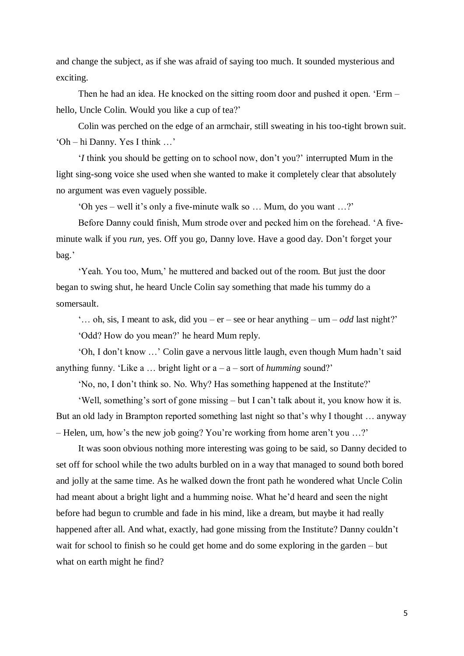and change the subject, as if she was afraid of saying too much. It sounded mysterious and exciting.

Then he had an idea. He knocked on the sitting room door and pushed it open. 'Erm – hello, Uncle Colin. Would you like a cup of tea?'

Colin was perched on the edge of an armchair, still sweating in his too-tight brown suit. 'Oh – hi Danny. Yes I think …'

'*I* think you should be getting on to school now, don't you?' interrupted Mum in the light sing-song voice she used when she wanted to make it completely clear that absolutely no argument was even vaguely possible.

'Oh yes – well it's only a five-minute walk so … Mum, do you want …?'

Before Danny could finish, Mum strode over and pecked him on the forehead. 'A fiveminute walk if you *run*, yes. Off you go, Danny love. Have a good day. Don't forget your bag.'

'Yeah. You too, Mum,' he muttered and backed out of the room. But just the door began to swing shut, he heard Uncle Colin say something that made his tummy do a somersault.

'... oh, sis, I meant to ask, did you –  $er$  – see or hear anything – um – *odd* last night?' 'Odd? How do you mean?' he heard Mum reply.

'Oh, I don't know …' Colin gave a nervous little laugh, even though Mum hadn't said anything funny. 'Like  $a \dots$  bright light or  $a - a -$  sort of *humming* sound?'

'No, no, I don't think so. No. Why? Has something happened at the Institute?'

'Well, something's sort of gone missing – but I can't talk about it, you know how it is. But an old lady in Brampton reported something last night so that's why I thought … anyway – Helen, um, how's the new job going? You're working from home aren't you …?'

It was soon obvious nothing more interesting was going to be said, so Danny decided to set off for school while the two adults burbled on in a way that managed to sound both bored and jolly at the same time. As he walked down the front path he wondered what Uncle Colin had meant about a bright light and a humming noise. What he'd heard and seen the night before had begun to crumble and fade in his mind, like a dream, but maybe it had really happened after all. And what, exactly, had gone missing from the Institute? Danny couldn't wait for school to finish so he could get home and do some exploring in the garden – but what on earth might he find?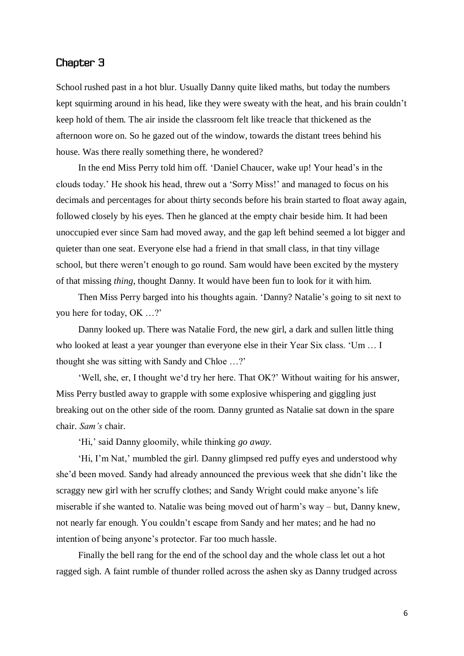## Chapter 3

School rushed past in a hot blur. Usually Danny quite liked maths, but today the numbers kept squirming around in his head, like they were sweaty with the heat, and his brain couldn't keep hold of them. The air inside the classroom felt like treacle that thickened as the afternoon wore on. So he gazed out of the window, towards the distant trees behind his house. Was there really something there, he wondered?

In the end Miss Perry told him off. 'Daniel Chaucer, wake up! Your head's in the clouds today.' He shook his head, threw out a 'Sorry Miss!' and managed to focus on his decimals and percentages for about thirty seconds before his brain started to float away again, followed closely by his eyes. Then he glanced at the empty chair beside him. It had been unoccupied ever since Sam had moved away, and the gap left behind seemed a lot bigger and quieter than one seat. Everyone else had a friend in that small class, in that tiny village school, but there weren't enough to go round. Sam would have been excited by the mystery of that missing *thing*, thought Danny. It would have been fun to look for it with him.

Then Miss Perry barged into his thoughts again. 'Danny? Natalie's going to sit next to you here for today, OK …?'

Danny looked up. There was Natalie Ford, the new girl, a dark and sullen little thing who looked at least a year younger than everyone else in their Year Six class. 'Um … I thought she was sitting with Sandy and Chloe …?'

'Well, she, er, I thought we'd try her here. That OK?' Without waiting for his answer, Miss Perry bustled away to grapple with some explosive whispering and giggling just breaking out on the other side of the room. Danny grunted as Natalie sat down in the spare chair. *Sam's* chair.

'Hi,' said Danny gloomily, while thinking *go away.*

'Hi, I'm Nat,' mumbled the girl. Danny glimpsed red puffy eyes and understood why she'd been moved. Sandy had already announced the previous week that she didn't like the scraggy new girl with her scruffy clothes; and Sandy Wright could make anyone's life miserable if she wanted to. Natalie was being moved out of harm's way – but, Danny knew, not nearly far enough. You couldn't escape from Sandy and her mates; and he had no intention of being anyone's protector. Far too much hassle.

Finally the bell rang for the end of the school day and the whole class let out a hot ragged sigh. A faint rumble of thunder rolled across the ashen sky as Danny trudged across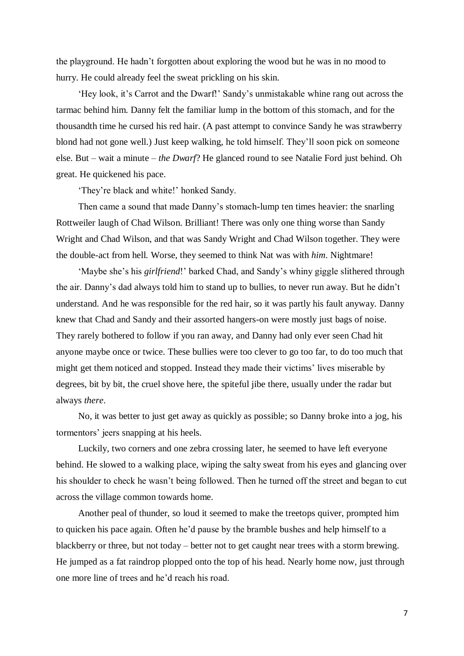the playground. He hadn't forgotten about exploring the wood but he was in no mood to hurry. He could already feel the sweat prickling on his skin.

'Hey look, it's Carrot and the Dwarf!' Sandy's unmistakable whine rang out across the tarmac behind him. Danny felt the familiar lump in the bottom of this stomach, and for the thousandth time he cursed his red hair. (A past attempt to convince Sandy he was strawberry blond had not gone well.) Just keep walking, he told himself. They'll soon pick on someone else. But – wait a minute – *the Dwarf*? He glanced round to see Natalie Ford just behind. Oh great. He quickened his pace.

'They're black and white!' honked Sandy.

Then came a sound that made Danny's stomach-lump ten times heavier: the snarling Rottweiler laugh of Chad Wilson. Brilliant! There was only one thing worse than Sandy Wright and Chad Wilson, and that was Sandy Wright and Chad Wilson together. They were the double-act from hell. Worse, they seemed to think Nat was with *him*. Nightmare!

'Maybe she's his *girlfriend*!' barked Chad, and Sandy's whiny giggle slithered through the air. Danny's dad always told him to stand up to bullies, to never run away. But he didn't understand. And he was responsible for the red hair, so it was partly his fault anyway. Danny knew that Chad and Sandy and their assorted hangers-on were mostly just bags of noise. They rarely bothered to follow if you ran away, and Danny had only ever seen Chad hit anyone maybe once or twice. These bullies were too clever to go too far, to do too much that might get them noticed and stopped. Instead they made their victims' lives miserable by degrees, bit by bit, the cruel shove here, the spiteful jibe there, usually under the radar but always *there*.

No, it was better to just get away as quickly as possible; so Danny broke into a jog, his tormentors' jeers snapping at his heels.

Luckily, two corners and one zebra crossing later, he seemed to have left everyone behind. He slowed to a walking place, wiping the salty sweat from his eyes and glancing over his shoulder to check he wasn't being followed. Then he turned off the street and began to cut across the village common towards home.

Another peal of thunder, so loud it seemed to make the treetops quiver, prompted him to quicken his pace again. Often he'd pause by the bramble bushes and help himself to a blackberry or three, but not today – better not to get caught near trees with a storm brewing. He jumped as a fat raindrop plopped onto the top of his head. Nearly home now, just through one more line of trees and he'd reach his road.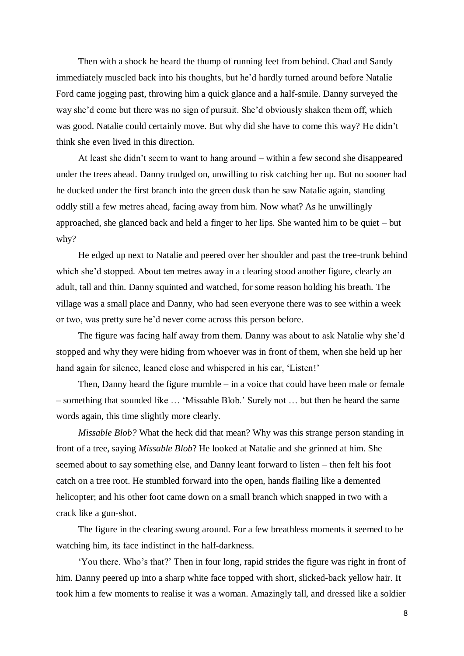Then with a shock he heard the thump of running feet from behind. Chad and Sandy immediately muscled back into his thoughts, but he'd hardly turned around before Natalie Ford came jogging past, throwing him a quick glance and a half-smile. Danny surveyed the way she'd come but there was no sign of pursuit. She'd obviously shaken them off, which was good. Natalie could certainly move. But why did she have to come this way? He didn't think she even lived in this direction.

At least she didn't seem to want to hang around – within a few second she disappeared under the trees ahead. Danny trudged on, unwilling to risk catching her up. But no sooner had he ducked under the first branch into the green dusk than he saw Natalie again, standing oddly still a few metres ahead, facing away from him. Now what? As he unwillingly approached, she glanced back and held a finger to her lips. She wanted him to be quiet – but why?

He edged up next to Natalie and peered over her shoulder and past the tree-trunk behind which she'd stopped. About ten metres away in a clearing stood another figure, clearly an adult, tall and thin. Danny squinted and watched, for some reason holding his breath. The village was a small place and Danny, who had seen everyone there was to see within a week or two, was pretty sure he'd never come across this person before.

The figure was facing half away from them. Danny was about to ask Natalie why she'd stopped and why they were hiding from whoever was in front of them, when she held up her hand again for silence, leaned close and whispered in his ear, 'Listen!'

Then, Danny heard the figure mumble – in a voice that could have been male or female – something that sounded like … 'Missable Blob.' Surely not … but then he heard the same words again, this time slightly more clearly.

*Missable Blob?* What the heck did that mean? Why was this strange person standing in front of a tree, saying *Missable Blob*? He looked at Natalie and she grinned at him. She seemed about to say something else, and Danny leant forward to listen – then felt his foot catch on a tree root. He stumbled forward into the open, hands flailing like a demented helicopter; and his other foot came down on a small branch which snapped in two with a crack like a gun-shot.

The figure in the clearing swung around. For a few breathless moments it seemed to be watching him, its face indistinct in the half-darkness.

'You there. Who's that?' Then in four long, rapid strides the figure was right in front of him. Danny peered up into a sharp white face topped with short, slicked-back yellow hair. It took him a few moments to realise it was a woman. Amazingly tall, and dressed like a soldier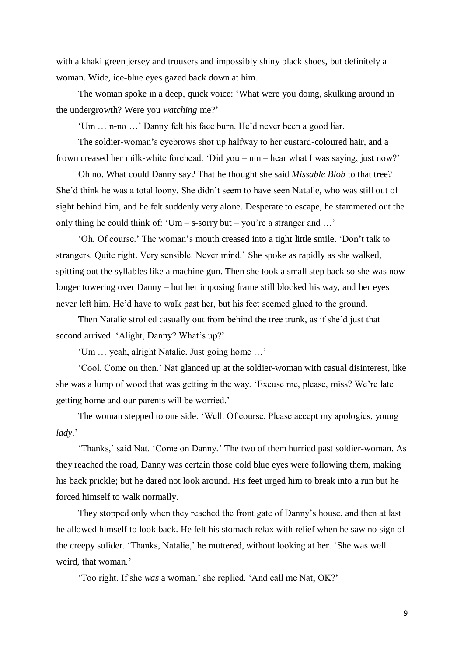with a khaki green jersey and trousers and impossibly shiny black shoes, but definitely a woman. Wide, ice-blue eyes gazed back down at him.

The woman spoke in a deep, quick voice: 'What were you doing, skulking around in the undergrowth? Were you *watching* me?'

'Um … n-no …' Danny felt his face burn. He'd never been a good liar.

The soldier-woman's eyebrows shot up halfway to her custard-coloured hair, and a frown creased her milk-white forehead. 'Did you – um – hear what I was saying, just now?'

Oh no. What could Danny say? That he thought she said *Missable Blob* to that tree? She'd think he was a total loony. She didn't seem to have seen Natalie, who was still out of sight behind him, and he felt suddenly very alone. Desperate to escape, he stammered out the only thing he could think of: 'Um – s-sorry but – you're a stranger and ...'

'Oh. Of course.' The woman's mouth creased into a tight little smile. 'Don't talk to strangers. Quite right. Very sensible. Never mind.' She spoke as rapidly as she walked, spitting out the syllables like a machine gun. Then she took a small step back so she was now longer towering over Danny – but her imposing frame still blocked his way, and her eyes never left him. He'd have to walk past her, but his feet seemed glued to the ground.

Then Natalie strolled casually out from behind the tree trunk, as if she'd just that second arrived. 'Alight, Danny? What's up?'

'Um … yeah, alright Natalie. Just going home …'

'Cool. Come on then.' Nat glanced up at the soldier-woman with casual disinterest, like she was a lump of wood that was getting in the way. 'Excuse me, please, miss? We're late getting home and our parents will be worried.'

The woman stepped to one side. 'Well. Of course. Please accept my apologies, young *lady*.'

'Thanks,' said Nat. 'Come on Danny.' The two of them hurried past soldier-woman. As they reached the road, Danny was certain those cold blue eyes were following them, making his back prickle; but he dared not look around. His feet urged him to break into a run but he forced himself to walk normally.

They stopped only when they reached the front gate of Danny's house, and then at last he allowed himself to look back. He felt his stomach relax with relief when he saw no sign of the creepy solider. 'Thanks, Natalie,' he muttered, without looking at her. 'She was well weird, that woman.'

'Too right. If she *was* a woman.' she replied. 'And call me Nat, OK?'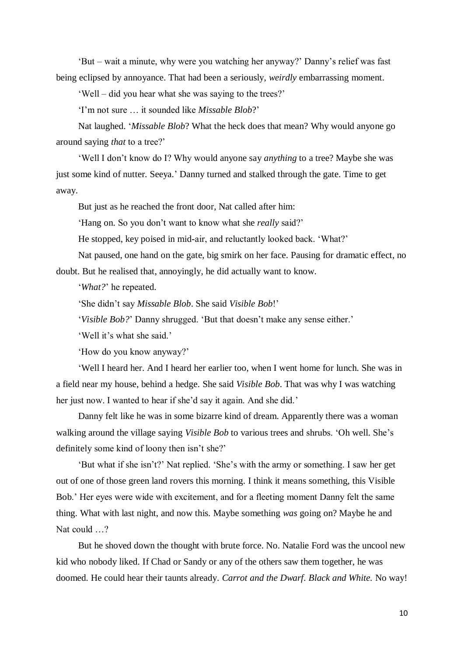'But – wait a minute, why were you watching her anyway?' Danny's relief was fast being eclipsed by annoyance. That had been a seriously, *weirdly* embarrassing moment.

'Well – did you hear what she was saying to the trees?'

'I'm not sure … it sounded like *Missable Blob*?'

Nat laughed. '*Missable Blob*? What the heck does that mean? Why would anyone go around saying *that* to a tree?'

'Well I don't know do I? Why would anyone say *anything* to a tree? Maybe she was just some kind of nutter. Seeya.' Danny turned and stalked through the gate. Time to get away.

But just as he reached the front door, Nat called after him:

'Hang on. So you don't want to know what she *really* said?'

He stopped, key poised in mid-air, and reluctantly looked back. 'What?'

Nat paused, one hand on the gate, big smirk on her face. Pausing for dramatic effect, no doubt. But he realised that, annoyingly, he did actually want to know.

'*What?*' he repeated.

'She didn't say *Missable Blob*. She said *Visible Bob*!'

'*Visible Bob?*' Danny shrugged. 'But that doesn't make any sense either.'

'Well it's what she said.'

'How do you know anyway?'

'Well I heard her. And I heard her earlier too, when I went home for lunch. She was in a field near my house, behind a hedge. She said *Visible Bob*. That was why I was watching her just now. I wanted to hear if she'd say it again. And she did.'

Danny felt like he was in some bizarre kind of dream. Apparently there was a woman walking around the village saying *Visible Bob* to various trees and shrubs. 'Oh well. She's definitely some kind of loony then isn't she?'

'But what if she isn't?' Nat replied. 'She's with the army or something. I saw her get out of one of those green land rovers this morning. I think it means something, this Visible Bob.' Her eyes were wide with excitement, and for a fleeting moment Danny felt the same thing. What with last night, and now this. Maybe something *was* going on? Maybe he and Nat could ...?

But he shoved down the thought with brute force. No. Natalie Ford was the uncool new kid who nobody liked. If Chad or Sandy or any of the others saw them together, he was doomed. He could hear their taunts already. *Carrot and the Dwarf. Black and White.* No way!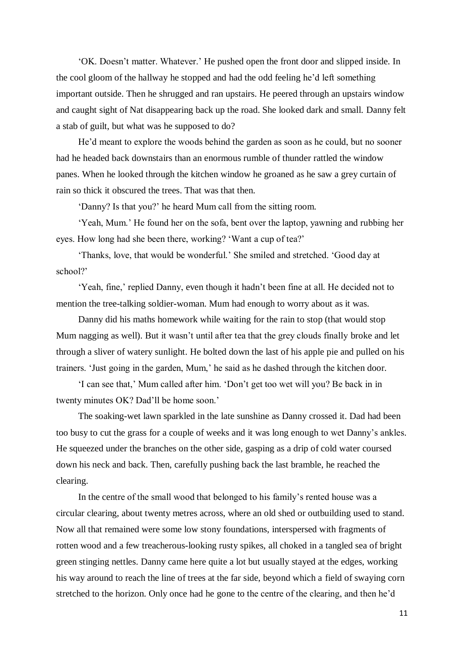'OK. Doesn't matter. Whatever.' He pushed open the front door and slipped inside. In the cool gloom of the hallway he stopped and had the odd feeling he'd left something important outside. Then he shrugged and ran upstairs. He peered through an upstairs window and caught sight of Nat disappearing back up the road. She looked dark and small. Danny felt a stab of guilt, but what was he supposed to do?

He'd meant to explore the woods behind the garden as soon as he could, but no sooner had he headed back downstairs than an enormous rumble of thunder rattled the window panes. When he looked through the kitchen window he groaned as he saw a grey curtain of rain so thick it obscured the trees. That was that then.

'Danny? Is that you?' he heard Mum call from the sitting room.

'Yeah, Mum.' He found her on the sofa, bent over the laptop, yawning and rubbing her eyes. How long had she been there, working? 'Want a cup of tea?'

'Thanks, love, that would be wonderful.' She smiled and stretched. 'Good day at school?'

'Yeah, fine,' replied Danny, even though it hadn't been fine at all. He decided not to mention the tree-talking soldier-woman. Mum had enough to worry about as it was.

Danny did his maths homework while waiting for the rain to stop (that would stop Mum nagging as well). But it wasn't until after tea that the grey clouds finally broke and let through a sliver of watery sunlight. He bolted down the last of his apple pie and pulled on his trainers. 'Just going in the garden, Mum,' he said as he dashed through the kitchen door.

'I can see that,' Mum called after him. 'Don't get too wet will you? Be back in in twenty minutes OK? Dad'll be home soon.'

The soaking-wet lawn sparkled in the late sunshine as Danny crossed it. Dad had been too busy to cut the grass for a couple of weeks and it was long enough to wet Danny's ankles. He squeezed under the branches on the other side, gasping as a drip of cold water coursed down his neck and back. Then, carefully pushing back the last bramble, he reached the clearing.

In the centre of the small wood that belonged to his family's rented house was a circular clearing, about twenty metres across, where an old shed or outbuilding used to stand. Now all that remained were some low stony foundations, interspersed with fragments of rotten wood and a few treacherous-looking rusty spikes, all choked in a tangled sea of bright green stinging nettles. Danny came here quite a lot but usually stayed at the edges, working his way around to reach the line of trees at the far side, beyond which a field of swaying corn stretched to the horizon. Only once had he gone to the centre of the clearing, and then he'd